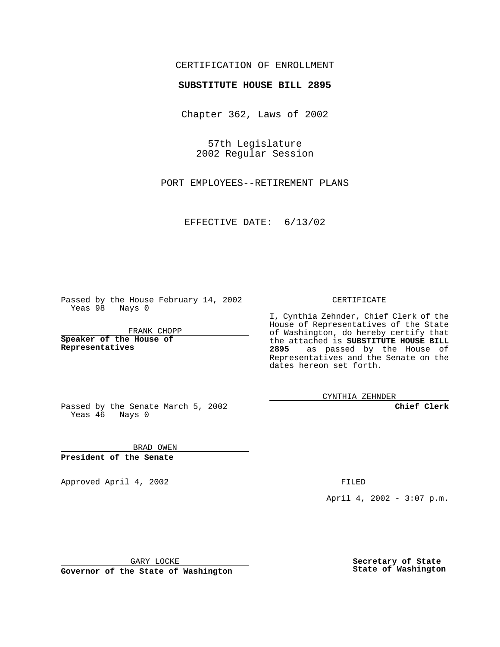## CERTIFICATION OF ENROLLMENT

## **SUBSTITUTE HOUSE BILL 2895**

Chapter 362, Laws of 2002

57th Legislature 2002 Regular Session

PORT EMPLOYEES--RETIREMENT PLANS

EFFECTIVE DATE: 6/13/02

Passed by the House February 14, 2002 Yeas 98 Nays 0

FRANK CHOPP

**Speaker of the House of Representatives**

CERTIFICATE

I, Cynthia Zehnder, Chief Clerk of the House of Representatives of the State of Washington, do hereby certify that the attached is **SUBSTITUTE HOUSE BILL 2895** as passed by the House of Representatives and the Senate on the dates hereon set forth.

CYNTHIA ZEHNDER

**Chief Clerk**

Passed by the Senate March 5, 2002 Yeas 46 Nays 0

BRAD OWEN **President of the Senate**

Approved April 4, 2002 FILED

April 4, 2002 - 3:07 p.m.

GARY LOCKE

**Governor of the State of Washington**

**Secretary of State State of Washington**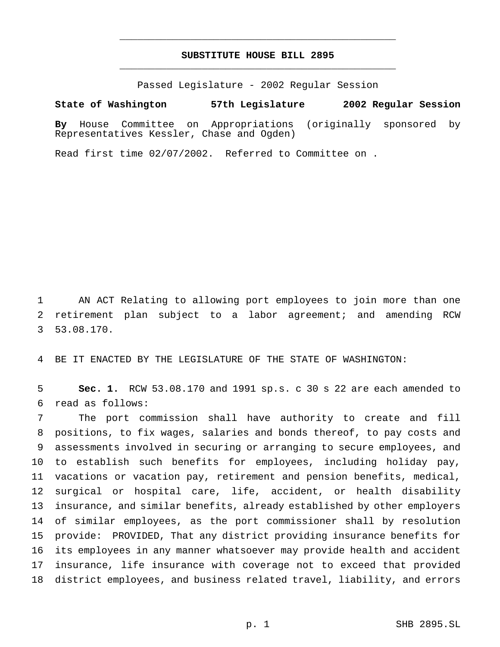## **SUBSTITUTE HOUSE BILL 2895** \_\_\_\_\_\_\_\_\_\_\_\_\_\_\_\_\_\_\_\_\_\_\_\_\_\_\_\_\_\_\_\_\_\_\_\_\_\_\_\_\_\_\_\_\_\_\_

\_\_\_\_\_\_\_\_\_\_\_\_\_\_\_\_\_\_\_\_\_\_\_\_\_\_\_\_\_\_\_\_\_\_\_\_\_\_\_\_\_\_\_\_\_\_\_

Passed Legislature - 2002 Regular Session

## **State of Washington 57th Legislature 2002 Regular Session**

**By** House Committee on Appropriations (originally sponsored by Representatives Kessler, Chase and Ogden)

Read first time 02/07/2002. Referred to Committee on .

 AN ACT Relating to allowing port employees to join more than one retirement plan subject to a labor agreement; and amending RCW 53.08.170.

BE IT ENACTED BY THE LEGISLATURE OF THE STATE OF WASHINGTON:

 **Sec. 1.** RCW 53.08.170 and 1991 sp.s. c 30 s 22 are each amended to read as follows:

 The port commission shall have authority to create and fill positions, to fix wages, salaries and bonds thereof, to pay costs and assessments involved in securing or arranging to secure employees, and to establish such benefits for employees, including holiday pay, vacations or vacation pay, retirement and pension benefits, medical, surgical or hospital care, life, accident, or health disability insurance, and similar benefits, already established by other employers of similar employees, as the port commissioner shall by resolution provide: PROVIDED, That any district providing insurance benefits for its employees in any manner whatsoever may provide health and accident insurance, life insurance with coverage not to exceed that provided district employees, and business related travel, liability, and errors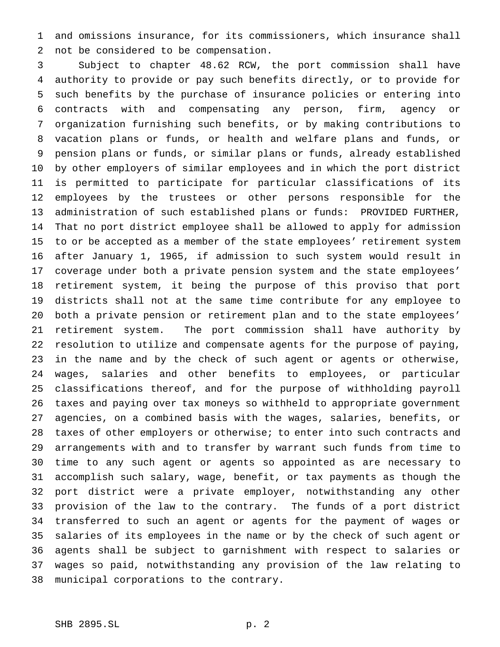and omissions insurance, for its commissioners, which insurance shall not be considered to be compensation.

 Subject to chapter 48.62 RCW, the port commission shall have authority to provide or pay such benefits directly, or to provide for such benefits by the purchase of insurance policies or entering into contracts with and compensating any person, firm, agency or organization furnishing such benefits, or by making contributions to vacation plans or funds, or health and welfare plans and funds, or pension plans or funds, or similar plans or funds, already established by other employers of similar employees and in which the port district is permitted to participate for particular classifications of its employees by the trustees or other persons responsible for the administration of such established plans or funds: PROVIDED FURTHER, That no port district employee shall be allowed to apply for admission to or be accepted as a member of the state employees' retirement system after January 1, 1965, if admission to such system would result in coverage under both a private pension system and the state employees' retirement system, it being the purpose of this proviso that port districts shall not at the same time contribute for any employee to both a private pension or retirement plan and to the state employees' retirement system. The port commission shall have authority by resolution to utilize and compensate agents for the purpose of paying, in the name and by the check of such agent or agents or otherwise, wages, salaries and other benefits to employees, or particular classifications thereof, and for the purpose of withholding payroll taxes and paying over tax moneys so withheld to appropriate government agencies, on a combined basis with the wages, salaries, benefits, or taxes of other employers or otherwise; to enter into such contracts and arrangements with and to transfer by warrant such funds from time to time to any such agent or agents so appointed as are necessary to accomplish such salary, wage, benefit, or tax payments as though the port district were a private employer, notwithstanding any other provision of the law to the contrary. The funds of a port district transferred to such an agent or agents for the payment of wages or salaries of its employees in the name or by the check of such agent or agents shall be subject to garnishment with respect to salaries or wages so paid, notwithstanding any provision of the law relating to municipal corporations to the contrary.